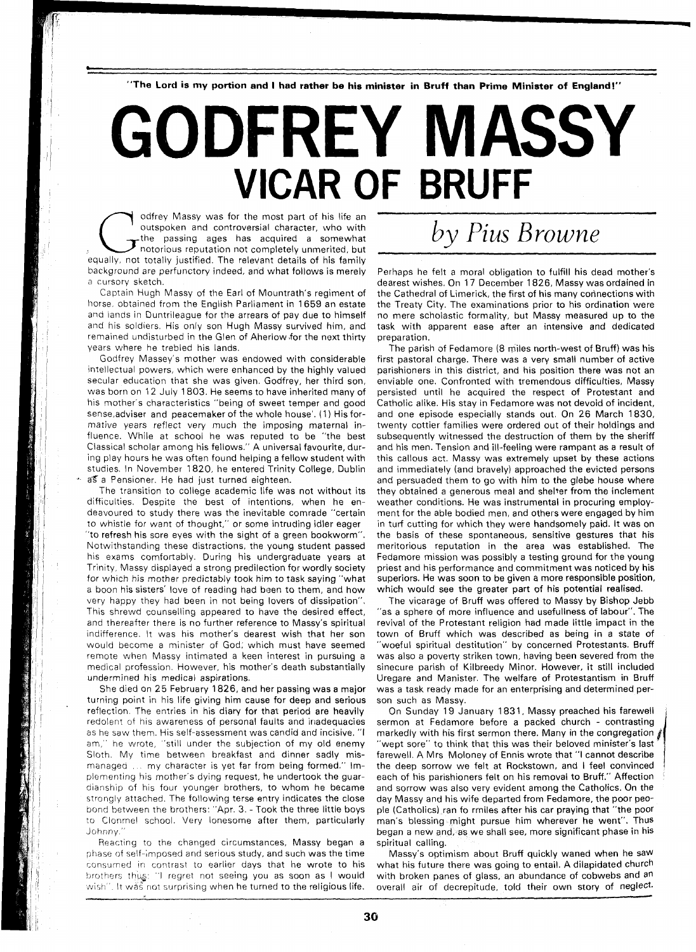**"The Lord is my portion and I had rather be his minister in Bruff than Prime Minister of England!"** 

## GODFREY MASSY **VICAR OF BRUFF**

odfrey Massy was for the most part of his life an outspoken and controversial character, who with the passing ages has acquired a somewhat equally, not totally justified. The relevant details of his family outspoken and controversial character, who with the passing ages has acquired a somewhat notorious reputation not completely unmerited, but background are perfunctory indeed, and what follows is merely a cursory sketch.

Captain Hugh Massy of the Earl of Mountrath's regiment of horse. obtained from the English Parliament in 1659 an estate and lands in Duntrileague for the arrears of pay due to himself and his soldiers. His only son Hugh Massy survived him, and remained undisturbed in the Glen of Aherlow for the next thirty years where he trebled his lands.

Godfrey Massey's mother was endowed with considerable intellectual powers, which were enhanced by the highly valued secular education that she was given. Godfrey, her third son, was born on 12 July 1803. He seems to have inherited many of his mother's characteristics "being of sweet temper and good sense, adviser and peacemaker of the whole house'. (1) His formative years reflect very much the imposing maternal influence. While at school he was reputed to be "the best Classical scholar among his fellows." A universal favourite, during play hours he was often found helping a fellow student with studies, In November 1820, he entered Trinity College, Dublin as a Pensioner. He had just turned eighteen.

The transition to college academic life was not without its difficulties. Despite the best of intentions, when he endeavoured to study there was the inevitable comrade "certain to whistle for want of thought," or some intruding idler eager "to refresh his sore eyes with the sight of a green bookworm". Notwithstanding these distractions, the young student passed his exams comfortably. During his undergraduate years at Trinity, Massy displayed a strong predilection for wordly society for which his mother predictably took him to task saying "what a boon his sisters' love of reading had been to them, and how very happy they had been in not being lovers of dissipation". This shrewd counselling appeared to have the desired effect, and thereafter there is no further reference to Massy's spiritual indifference. It was his mother's dearest wish that her son would become a minister of God; which must have seemed remote when Massy intimated a keen interest in pursuing a medical profession. However, his mother's death substantially undermined his medical aspirations.

She died on 25 February 1826, and her passing was a major turning point in his life giving him cause for deep and serious reflection. The entries in his diary for that period are heavily redolent of his awareness of personal faults and inadequacies as he saw them. His self-assessment was candid and incisive. "I am," he wrote, "still under the subjection of my old enemy Sloth. My time between breakfast and dinner sadly mismanaged ... my character is yet far from being formed." Implementing his mother's dying request, he undertook the guardianship of his four younger brothers, to whom he became strongly attached. The following terse entry indicates the close bond between the brothers: "Apr. 3. -Took the three little boys to Clonmel school. Very lonesome after them, particularly Johnny."

Reacting to the changed circumstances, Massy began a phase of self-imposed and serious study, and such was the time consumed in contrast to earlier days that he wrote to his brothers thus: "I regret not seeing you as soon as I would wish". It was not surprising when he turned to the religious life.

## by Pius Browne

Perhaps he felt a moral obligation to fulfill his dead mother's dearest wishes. On 17 December 1826, Massy was ordained in the Cathedral of Limerick, the first of his many connections with the Treaty City. The examinations prior to his ordination were no mere scholastic formality, but Massy measured up to the task with apparent ease after an intensive and dedicated preparation.

The parish of Fedamore (8 miles north-west of Bruff) was his first pastoral charge. There was a very small number of active parishioners in this district, and his position there was not an enviable one. Confronted with tremendous difficulties, Massy persisted until he acquired the respect of Protestant and Catholic alike. His stay in Fedamore was not devoid of incident, and one episode especially stands out. On 26 March 1830, twenty cottier families were ordered out of their holdings and subsequently witnessed the destruction of them by the sheriff and his men. Tension and ill-feeling were rampant as a result of this callous act. Massy was extremely upset by these actions and immediately (and bravely) approached the evicted persons and persuaded them to go with him to the glebe house where they obtained a generous meal and shelter from the inclement weather conditions. He was instrumental in procuring employment for the able bodied men, and others were engaged by him in turf cutting for which they were handsomely paid. It was on the basis of these spontaneous, sensitive gestures that his meritorious reputation in the area was established. The Fedamore mission was possibly a testing ground for the young priest and his performance and commitment was noticed by his superiors. He was soon to be given a more responsible position, which would see the greater part of his potential realised.

The vicarage of Bruff was offered to Massy by Bishop Jebb "as a sphere of more influence and usefullness of labour", The revival of the Protestant religion had made little impact in the town of Bruff which was described as being in a state of "woeful spiritual destitution" by concerned Protestants. Bruff was also a poverty striken town, having been severed from the sinecure parish of Kilbreedy Minor. However, it still included Uregare and Manister. The welfare of Protestantism in Bruff was a task ready made for an enterprising and determined person such as Massy.

On Sunday 19 January 1831, Massy preached his farewell sermon at Fedamore before a packed church - contrasting markedly with his first sermon there. Many in the congregation  $\hat{f}$ 'wept sore" to think that this was their beloved minister's last farewell. A Mrs Moloney of Ennis wrote that "I cannot describe the deep sorrow we felt at Rockstown, and I feel convinced each of his parishioners felt on his removal to Bruff." Affection and sorrow was also very evident among the Catholics. On the day Massy and his wife departed from Fedamore, the poor people (Catholics) ran fo rmiles after his car praying that "the poor man's blessing might pursue him wherever he went". Thus began a new and, as we shall see, more significant phase in his spiritual calling.

Massy's optimism about Bruff quickly waned when he saw what his future there was going to entail. A dilapidated church with broken panes of glass, an abundance of cobwebs and an overall air of decrepitude, told their own story of neglect.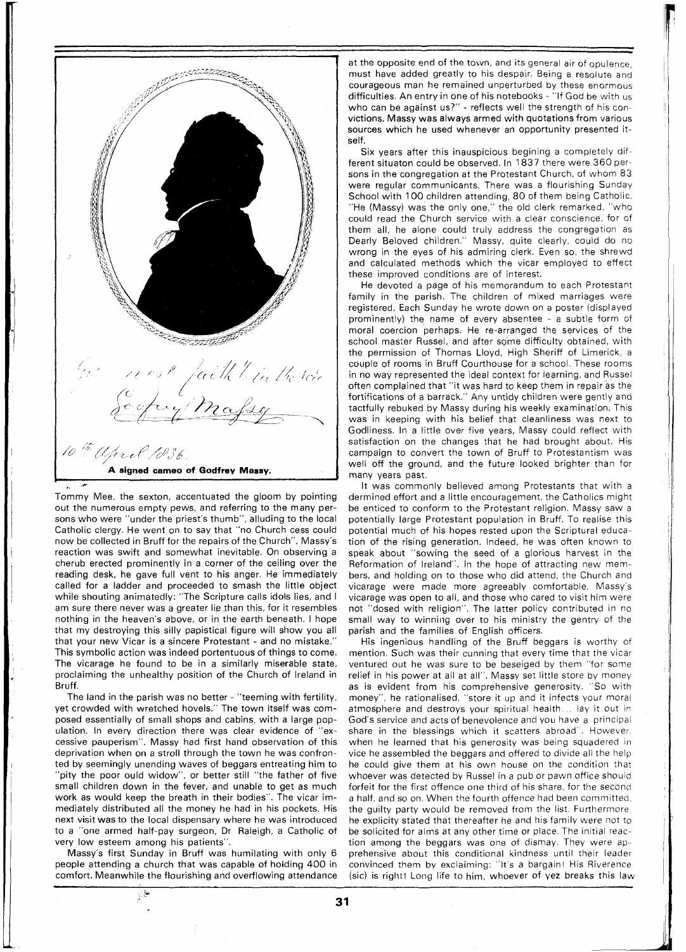

Tommy Mee, the sexton, accentuated the gloom by pointing out the numerous empty pews, and referring to the many persons who were "under the priest's thumb", alluding to the local Catholic clergy. He went on to say that "no Church cess could now be collected in Bruff for the repairs of the Church". Massy's reaction was swift and somewhat inevitable. On observing a cherub erected prominently in a corner of the ceiling over the reading desk, he gave full vent to his anger. He immediately called for a ladder and proceeded to smash the little object while shouting animatedly: "The Scripture calls idols lies, and I am sure there never was a greater lie than this, for it resembles nothing in the heaven's above, or in the earth beneath. I hope that my destroying this silly papistical figure will show you all that your new Vicar is a sincere Protestant - and no mistake." This symbolic action was indeed portentuous of things to come. The vicarage he found to be in a similarly miserable state, proclaiming the unhealthy position of the Church of Ireland in Bruff.

The land in the parish was no better - "teeming with fertility, yet crowded with wretched hovels." The town itself was composed essentially of small shops and cabins, with a large population. In every direction there was clear evidence of "excessive pauperism". Massy had first hand observation of this deprivation when on a stroll through the town he was confronted by seemingly unending waves of beggars entreating him to "pity the poor ould widow", or better still "the father of five small children down in the fever, and unable to get as much work as would keep the breath in their bodies". The vicar immediately distributed all the money he had in his pockets. His next visit was to the local dispensary where he was introduced to a "one armed half-pay surgeon, Dr Raleigh, a Catholic of very low esteem among his patients".

Massy's first Sunday in Bruff was humilating with only 6 people attending a church that was capable of holding 400 in comfort. Meanwhile the flourishing and overflowing attendance

 $\frac{1}{2}$ 

at the opposite end of the town, and its general air of opulence, must have added greatly to his despair. Being a resolute and courageous man he remained unperturbed by these enormous difficulties. An entry in one of his notebooks - "If God be with us who can be against us?" - reflects well the strength of his convictions. Massy was always armed with quotations from various sources which he used whenever an opportunity presented itself.

Six years after this inauspicious begining a completely different situaton could be observed. In 1837 there were 360 persons in the congregation at the Protestant Church, of whom 83 were regular communicants. There was a flourishing Sunday School with 100 children attending, 80 of them being Catholic. "He (Massy) was the only one," the old clerk remarked, "who could read the Church service with a clear conscience, for of them all, he alone could truly address the congregation as Dearly Beloved children." Massy, quite clearly, could do no wrong in the eyes of his admiring clerk. Even so, the shrewd and calculated methods which the vicar employed to effect these improved conditions are of interest.

He devoted a page of his memorandum to each Protestant family in the parish. The children of mixed marriages were registered. Each Sunday he wrote down on a poster (displayed prominently) the name of every absentee - a subtle form of moral coercion perhaps. He re-arranged the services of the school master Russel, and after some difficulty obtained, with the permission of Thomas Lloyd, High Sheriff of Limerick, a couple of rooms in Bruff Courthouse for a school. These rooms in'no way represented the ideal context for learning, and Russel often complained that "it was hard to keep them in repair as the fortifications of a barrack." Any untidy children were gently and tactfully rebuked by Massy during his weekly examination. This was in keeping with his belief that cleanliness was next to Godliness. In a little over five years, Massy could reflect with satisfaction on the changes that he had brought about. His campaign to convert the town of Bruff to Protestantism was well off the ground, and the future looked brighter than for many years past.

It was commonly believed among Protestants that with a dermined effort and a little encouragement, the Catholics might be enticed to conform to the Protestant religion, Massy saw a potentially large Protestant population in Bruff. To realise this potential much of his hopes rested upon the Scriptural education of the rising generation. Indeed, he was often known to speak about "sowing the seed of a glorious harvest in the Reformation of Ireland". In the hope of attracting new members, and holding on to those who did attend, the Church and vicarage were made more agreeably comfortable. Massy's vicarage was open to all, and those who cared to visit him were not "dosed with religion". The latter policy contributed in no small way to winning over to his ministry the gentry of the parish and the families of English officers.

His ingenious handling of the Bruff beggars is worthy of mention. Such was their cunning that every time that the vicar ventured out he was sure to be beseiged by them "for some relief in his power at all at all". Massy set little store by money as is evident from his comprehensive generosity. "So with money", he rationalised, "store it up and it infects your moral atmosphere and destroys your spiritual health.. . lay it out in God's service and acts of benevolence and you have a principal share in the blessings which it scatters abroad". However, when he learned that his generosity was being squadered in vice he assembled the beggars and offered to divide all the help he could give them at his own house on the condition that whoever was detected by Russel in a pub or pawn office should forfeit for the first offence one third of his share, for the second a half, and so on. When the fourth offence had been committed, the guilty party would be removed from the list. Furthermore he explicity stated that thereafter he and his family were not to be solicited for alms at any other time or place. The initial reaction among the beggars was one of dismay. They were apprehensive about this conditional kindness until their leader convinced them by exclaiming: "It's a bargain! His Riverence (sic) is right! Long life to him, whoever of yez breaks this law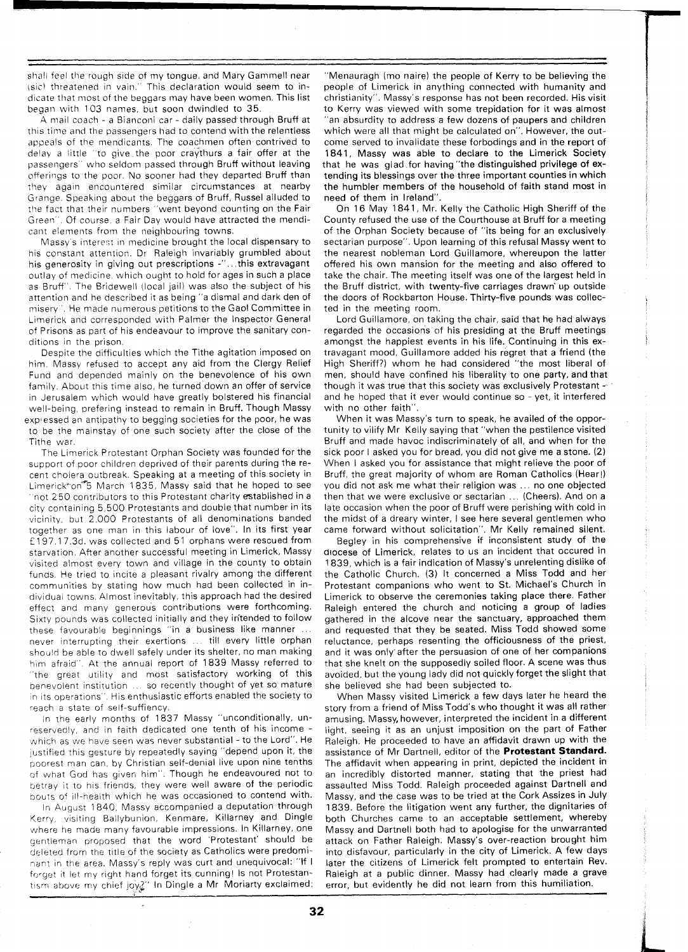shall feel the rough side of my tongue, and Mary Gammell near (sic) threatened in vain." This declaration would seem to indicate that most of the beggars may have been women. This list began with 103 names, but soon dwindled to 35.

A mail coach - a Bianconi car - daily passed through Bruff at this time and the passengers had to contend with the relentless appeals of the mendicants. The coachmen often contrived to delay a little "to give the poor craythurs a fair offer at the passengers" who seldom passed through Bruff without leaving offerings to the poor. No sooner had they departed Bruff than they again encountered similar circumstances at nearby Grange. Speaking about the beggars of Bruff, Russel alluded to the fact that their numbers "went beyond counting on the Fair Green' . Of course, a Fair Day would have attracted the mendicant elements from the neighbouring towns.

Massy's interest in medicine brought the local dispensary to his constant attention. Dr Raleigh invariably grumbled about his generosity in giving out prescriptions -"...this extravagant outlay of medicine, which ought to hold for ages in such a place as Bruff". The Bridewell (local jail) was also the subject of his attention and he described it as being "a dismal and dark den of misery '. He made numerous petitions to the Gaol Committee in Limerick and corresponded with Palmer the Inspector General of Prisons as part of his endeavour to improve the sanitary conditions in the prison.

Despite the difficulties which the Tithe agitation imposed on him. Massy refused to accept any aid from the Clergy Relief Fund and depended mainly on the benevolence of his own family. About this time also, he turned down an offer of service in Jerusalem which would have greatly bolstered his financial well-being, prefering instead to remain in Bruff. Though Massy explessed an antipathy to begging societies for the poor, he was to be the mainstay of one such society after the close of the Tithe war.

The Limerick Protestant Orphan Society was founded for the support of poor children deprived of their parents during the recent cholera outbreak. Speaking at a meeting of this society in Limerick\*on<sup>\*\*</sup>5 March 1835, Massy said that he hoped to see "not 250 contributors to this Protestant charity established in a city containing 5,500 Protestants and double that number in its vicinity, but 2,000 Protestants of all denominations banded together as one man in this labour of love". In its first year f 197.1 7.3d. was collected and 51 orphans were rescued from starvation. After another successful meeting in Limerick, Massy visited almost every town and village in the county to obtain funds. He tried to incite a pleasant rivalry among the different communities by stating how much had been collected in individual towns. Almost inevitably, this approach had the desired effect and many generous contributions were forthcoming. Sixty pounds was collected initially and they in'tended to follow these favourable beginnings "in a business like manner . . . never interrupting their exertions .. till every little orphan should be able to dwell safely under its shelter, no man making him afraid". At the annual report of 1839 Massy referred to "the great utility and most satisfactory working of this benevolent institution ... so recently thought of yet so mature in its operations". His enthusiastic efforts enabled the society to reach a state of self-suffiency.

In tne early months of 1837 Massy "unconditionally, unreservedly, and in faith dedicated one tenth of his income which as we have seen was never substantial - to the Lord". He justified this gesture by repeatedly saying "depend upon it, the poorest man can, by Christian self-denial live upon nine tenths of what God has given him". Though he endeavoured not to betray it to his friends, they were well aware of the periodic bouts of ill-health which he was occasioned to contend with.

In August 1840, Massy accompanied a deputation through Kerry, visiting Ballybunion, Kenmare, Killarney and Dingle where he made many favourable impressions. In Killarney, one gentleman proposed that the word 'Protestant' should be deleted from the title of the society as Catholics were predominant in the area. Massy's reply was curt and unequivocal: "If I forget it let my right hand forget its cunning! Is not Protestantism above my chief joy?" In Dingle a Mr Moriarty exclaimed:

"Menauragh (mo naire) the people of Kerry to be believing the people of Limerick in anything connected with humanity and christianity". Massy's response has not been recorded. His visit to Kerry was viewed with some trepidation for it was almost "an absurdity to address a few dozens of paupers and children which were all that might be calculated on". However, the outcome served to invalidate these forbodings and in the report of 1841, Massy was able to declare to the Limerick Society that he was giad for having "the distinguished privilege of extending its blessings over the three important counties in which the humbler members of the household of faith stand most in need of them in Ireland".

On 16 May 1841, Mr. Keliy the Catholic High Sheriff of the County refused the use of the Courthouse at Bruff for a meeting of the Orphan Society because of "its being for an exclusively sectarian purpose". Upon learning of this refusal Massy went to the nearest nobleman Lord Guillamore, whereupon the latter offered his own mansion for the meeting and also offered to take the chair. The meeting itself was one of the largest held in the Bruff district, with twenty-five carriages drawn' up outside the doors of Rockbarton House. Thirty-five pounds was collected in the meeting room.

Lord Guillamore, on taking the chair, said that he had always regarded the occasions of his presiding at the Bruff meetings amongst the happiest events in his life. Continuing in this extravagant mood, Guillamore added his regret that a friend (the High Sheriff?) whom he had considered "the most liberal of men, should have confined his liberality to one party, and that though it was true that this society was exclusively Protestant  $\sim$ and he hoped that it ever would continue so - yet, it interfered with no other faith".

When it was Massy's turn to speak, he availed of the opportunity to vilify Mr Kelly saying that "when the pestilence visited Bruff and made havoc indiscriminately of all, and when for the sick poor I asked you for bread, you did not give me a stone. (2) When I asked you for assistance that might relieve the poor of Bruff, the great majority of whom are Roman Catholics (Hear!) you did not ask me what their religion was . . . no one objected then that we were exclusive or sectarian ... (Cheers). And on a late occasion when the poor of Bruff were perishing with cold in the midst of a dreary winter, I see here several gentlemen who came forward without solicitation". Mr Kelly remained silent.

Begley in his comprehensive if inconsistent study of the diocese of Limerick, relates to us an incident that occured in 1839, which is a fair indication of Massy's unrelenting dislike of the Catholic Church. (3) It concerned a Miss Todd and her Protestant companions who went to St. Michael's Church in Limerick to observe the ceremonies taking place there. Father Raleigh entered the church and noticing a group of ladies gathered in the alcove near the sanctuary, approached them and requested that they be seated. Miss Todd showed some reluctance, perhaps resenting the officiousness of the priest, and it was only after the persuasion of one of her companions that she knelt on the supposedly soiled floor. A scene was thus avoided, but the young lady did not quickly forget the slight that she believed she had been subjected to.

When Massy visited Limerick a few days later he heard the story from a friend of Miss Todd's who thought it was all rather amusing. Massy, however, interpreted the incident in a different light, seeing it as an unjust imposition on the part of Father Raleigh. He proceeded to have an affidavit drawn up with the assistance of Mr Dartnell, editor of the **Protestant Standard.**  The affidavit when appearing in print, depicted the incident in an incredibly distorted manner, stating that the priest had assaulted Miss Todd. Raleigh proceeded against Dartnell and Massy, and the case was to be tried at the Cork Assizes in July 1839. Before the litigation went any further, the dignitaries of both Churches came to an acceptable settlement, whereby Massy and Dartnell both had to apologise for the unwarranted attack on Father Raleigh. Massy's over-reaction brought him into disfavour, particularly in the city of Limerick. A few days later the citizens of Limerick felt prompted to entertain Rev. Raleigh at a public dinner. Massy had clearly made a grave error, but evidently he did not learn from this humiliation.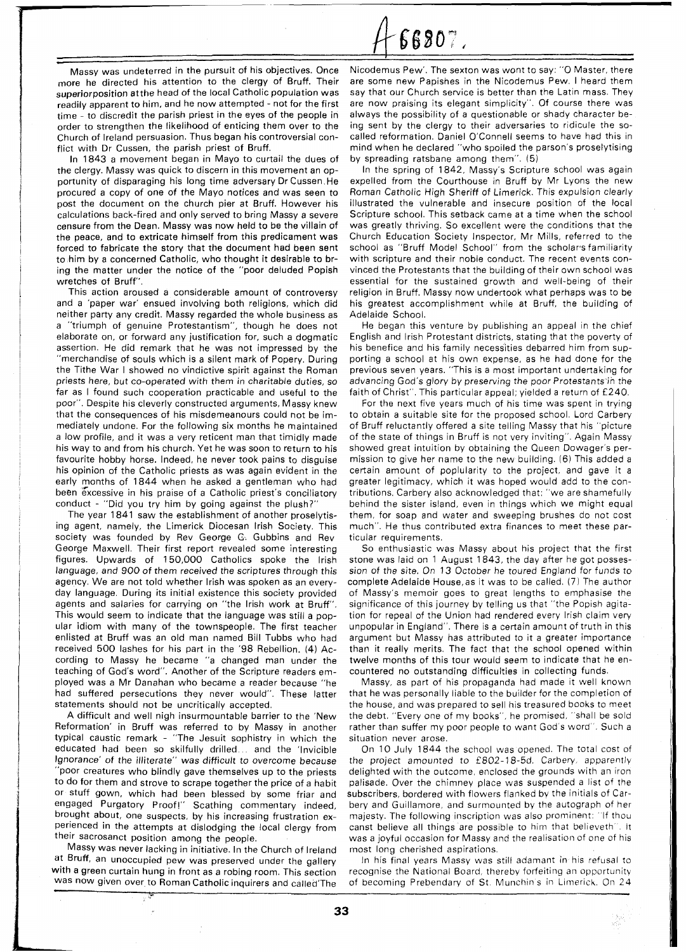66807.

- Massy was undeterred in the pursuit of his objectives. Once more he directed his attention to the clergy of Bruff. Their superiorposition atthe head of the local Catholic population was readily apparent to him, and he now attempted - not for the first time - to discredit the parish priest in the eyes of the people in order to strengthen the likelihood of enticing them over to the Church of Ireland persuasion. Thus began his controversial conflict with Dr Cussen, the parish priest of Bruff.

In 1843 a movement began in Mayo to curtail the dues of the clergy. Massy was quick to discern in this movement an opportunity of disparaging his long time adversary DrCussen He procured a copy of one of the Mayo notices and was seen to post the document on the church pier at Bruff. However his calculations back-fired and only served to bring Massy a severe censure from the Dean. Massy was now held to be the villain of the peace, and to extricate himself from this predicament was forced to fabricate the story that the document had been sent to him by a concerned Catholic, who thought it desirable to bring the matter under the notice of the "poor deluded Popish wretches of Bruff".

This action aroused a considerable amount of controversy and a 'paper war' ensued involving both religions, which did neither party any credit. Massy regarded the whole business as a "triumph of genuine Protestantism", though he does not elaborate on, or forward any justification for, such a dogmatic assertion. He did remark that he was not impressed by the "merchandise of souls which is a silent mark of Popery. During the Tithe War I showed no vindictive spirit against the Roman priests here, but co-operated with them in charitable duties, so far as I found such cooperation practicable and useful to the poor". Despite his cleverly constructed arguments, Massy knew that the consequences of his misdemeanours could not be immediately undone. For the following six months he maintained a low profile, and it was a very reticent man that timidly made his way to and from his church. Yet he was soon to return to his favourite hobby horse. Indeed, he never took pains to disguise his opinion of the Catholic priests as was again evident in the early months of 1844 when he asked a gentleman who had been excessive in his praise of a Catholic priest's conciliatory conduct - "Did you try him by going against the plush?"

The year 1841 saw the establishment of another proselytising agent, namely, the Limerick Diocesan lrish Society. This society was founded by Rev George G. Gubbins and Rev George Maxwell. Their first report revealed some interesting figures. Upwards of 150,000 Catholics spoke the lrish language, and 900 of them received the scriptures through this agency. We are not told whether lrish was spoken as an everyday language. During its initial existence this society provided agents and salaries for carrying on "the lrish work at Bruff". This would seem to indicate that the language was still a popular idiom with many of the townspeople. The first teacher enlisted at Bruff was an old man named Bill Tubbs who had received 500 lashes for his part in the '98 Rebellion. (4) According to Massy he became "a changed man under the teaching of God's word". Another of the Scripture readers employed was a Mr Danahan who became a reader because "he had suffered persecutions they never would". These latter statements should not be uncritically accepted.

A difficult and well nigh insurmountable barrier to the 'New Reformation' in Bruff was referred to by Massy in another typical caustic remark - "The Jesuit sophistry in which the educated had been so skilfully drilled... and the 'Invicible Ignorance' of the illiterate" was difficult to overcome because "poor creatures who blindly gave themselves up to the priests to do for them and strove to scrape together the price of a habit or stuff gown, which had been blessed by some friar and engaged Purgatory Proof!" Scathing commentary indeed, brought about, one suspects, by his increasing frustration experienced in the attempts at dislodging the local clergy from their sacrosanct position among the people.

Massv was never lacking in initiative. In the Church of Ireland at Bruff, an unoccupied pew was preserved under the gallery with a green curtain hung in front as a robing room. This section was now given over to Roman Catholic inquirers and called'The

Nicodemus Pew'. The sexton was wont to say: "0 Master, there are some new Papishes in the Nicodemus Pew. I heard them say that our Church service is better than the Latin mass. They are now praising its elegant simplicity". Of course there was always the possibility of a questionable or shady character being sent by the clergy to their adversaries to ridicule the socalled reformation. Daniel O'Connell seems to have had this in mind when he declared "who spoiled the parson's proselytising by spreading ratsbane among them". (5)

In the spring of 1842, Massy's Scripture school was again expelled from the Courthouse in Bruff by Mr Lyons the new Roman Catholic High Sheriff of Limerick. This expulsion clearly illustrated the vulnerable and insecure position of the local Scripture school. This setback came at a time when the school was greatly thriving. So excellent were the conditions that the Church Education Society Inspector, Mr Mills, referred to the school as "Bruff Model School" from the scholar's familiarity with scripture and their noble conduct. The recent events convinced the Protestants that the building of their own school was essential for the sustained growth and well-being of their religion in Bruff. Massy now undertook what perhaps was to be his greatest accomplishment while at Bruff, the building of Adelaide School.

He began this venture by publishing an appeal in the chief English and lrish Protestant districts, stating that the poverty of his benefice and his family necessities debarred him from supporting a school at his own expense, as he had done for the previous seven years. "This is a most important undertaking for advancing God's glory by preserving the poor Protestants in the faith of Christ". This particular appeal; yielded a return of £240.

For the next five years much of his time was spent in trying to obtain a suitable site for the proposed school. Lord Carbery of Bruff reluctantly offered a site telling Massy that his "picture of the state of things in Bruff is not very inviting". Again Massy showed great intuition by obtaining the Queen Dowager's permission to give her name to the new building. (6) This added a certain amount of poplularity to the project, and gave it a greater legitimacy, which it was hoped would add to the contributions. Carbery also acknowledged that: "we are shamefully behind the sister island, even in things which we might equal them, for soap and water and sweeping brushes do not cost much". He thus contributed extra finances to meet these particular requirements.

So enthusiastic was Massy about his project that the first stone was laid on 1 August 1843, the day after he got possession of the site. On 13 October he toured England for funds to complete Adelaide House,as it was to be called. (7) The author of Massy's memoir goes to great lengths to emphasise the significance of this journey by telling us that "the Popish agitation for repeal of the Union had rendered every lrish claim very unpopular in England". There is a certain amount of truth in this argument but Massy has attributed to it a greater importance than it really merits. The fact that the school opened within twelve months of this tour would seem to indicate that he encountered no outstanding difficulties in collecting funds.

Massy, as part of his propaganda had made it well known that he was personally liable to the builder for the completion of the house, and was prepared to sell his treasured books to meet the debt. "Every one of my books", he promised, "shall be sold rather than suffer my poor people to want God's word". Such a situation never arose.

On 10 July 1844 the school was opened. The total cost of the project amounted to £802-78-5d. Carbery, apparently delighted with the outcome, enclosed the grounds with an iron palisade. Over the chimney place was suspended a list of the subscribers, bordered with flowers flanked by the initials of Carbery and Guillamore, and surmounted by the autograph of her majesty. The following inscription was also prominent: "If thou canst believe all things are possible to him that believeth". It was a joyful occasion for Massy and the realisation of one of his most long cherished aspirations.

In his final years Massy was still adamant in his refusal to recognise the National Board, thereby forfeiting an opportunity of becoming Prebendary of St. Munchin's in Limerick. On 24